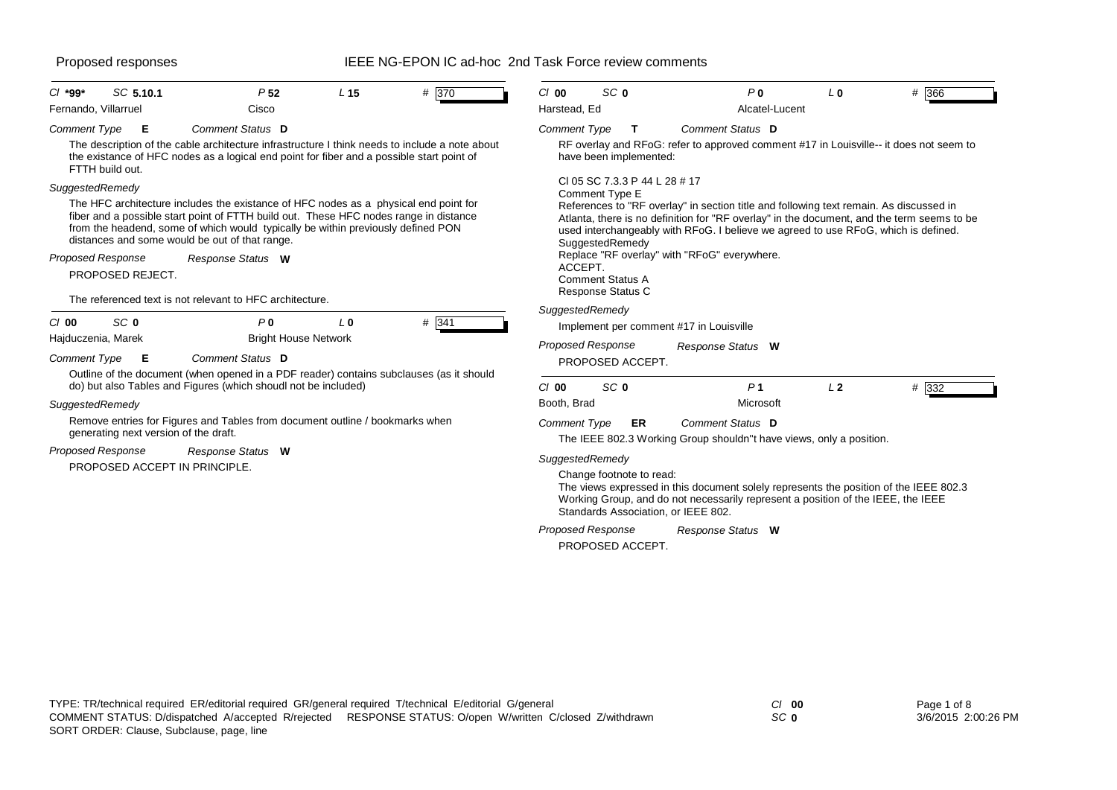| SC 5.10.1<br>$Cl$ *99*<br>Fernando, Villarruel                                                                                                                                                                                                                                                                                                                                         | P <sub>52</sub><br>Cisco    | L <sub>15</sub> | # 370 | $Cl$ 00<br>Harstead, Ed  | SC <sub>0</sub>                                                                                                           | P <sub>0</sub><br>Alcatel-Lucent                                                                                                                                                                                                                                                                                           | L <sub>0</sub> | # 366 |
|----------------------------------------------------------------------------------------------------------------------------------------------------------------------------------------------------------------------------------------------------------------------------------------------------------------------------------------------------------------------------------------|-----------------------------|-----------------|-------|--------------------------|---------------------------------------------------------------------------------------------------------------------------|----------------------------------------------------------------------------------------------------------------------------------------------------------------------------------------------------------------------------------------------------------------------------------------------------------------------------|----------------|-------|
| Comment Type<br>Е<br>The description of the cable architecture infrastructure I think needs to include a note about<br>the existance of HFC nodes as a logical end point for fiber and a possible start point of<br>FTTH build out.                                                                                                                                                    | Comment Status D            |                 |       | Comment Type             | т<br>have been implemented:                                                                                               | Comment Status D<br>RF overlay and RFoG: refer to approved comment #17 in Louisville-- it does not seem to                                                                                                                                                                                                                 |                |       |
| SuggestedRemedy<br>The HFC architecture includes the existance of HFC nodes as a physical end point for<br>fiber and a possible start point of FTTH build out. These HFC nodes range in distance<br>from the headend, some of which would typically be within previously defined PON<br>distances and some would be out of that range.<br><b>Proposed Response</b><br>PROPOSED REJECT. | Response Status W           |                 |       | ACCEPT.                  | CI 05 SC 7.3.3 P 44 L 28 # 17<br>Comment Type E<br>SuggestedRemedy<br><b>Comment Status A</b><br><b>Response Status C</b> | References to "RF overlay" in section title and following text remain. As discussed in<br>Atlanta, there is no definition for "RF overlay" in the document, and the term seems to be<br>used interchangeably with RFoG. I believe we agreed to use RFoG, which is defined.<br>Replace "RF overlay" with "RFoG" everywhere. |                |       |
| The referenced text is not relevant to HFC architecture.                                                                                                                                                                                                                                                                                                                               |                             |                 |       | SuggestedRemedy          |                                                                                                                           |                                                                                                                                                                                                                                                                                                                            |                |       |
| SC <sub>0</sub><br>$Cl$ 00                                                                                                                                                                                                                                                                                                                                                             | P <sub>0</sub>              | L <sub>0</sub>  | # 341 |                          |                                                                                                                           | Implement per comment #17 in Louisville                                                                                                                                                                                                                                                                                    |                |       |
| Hajduczenia, Marek                                                                                                                                                                                                                                                                                                                                                                     | <b>Bright House Network</b> |                 |       | <b>Proposed Response</b> |                                                                                                                           | Response Status W                                                                                                                                                                                                                                                                                                          |                |       |
| <b>Comment Type</b><br>Е                                                                                                                                                                                                                                                                                                                                                               | Comment Status D            |                 |       |                          | PROPOSED ACCEPT.                                                                                                          |                                                                                                                                                                                                                                                                                                                            |                |       |
| Outline of the document (when opened in a PDF reader) contains subclauses (as it should<br>do) but also Tables and Figures (which shoudl not be included)                                                                                                                                                                                                                              |                             |                 |       | $Cl$ 00                  | SC <sub>0</sub>                                                                                                           | P <sub>1</sub>                                                                                                                                                                                                                                                                                                             | L <sub>2</sub> | # 332 |
| SuggestedRemedy                                                                                                                                                                                                                                                                                                                                                                        |                             |                 |       | Booth, Brad              |                                                                                                                           | Microsoft                                                                                                                                                                                                                                                                                                                  |                |       |
| Remove entries for Figures and Tables from document outline / bookmarks when<br>generating next version of the draft.                                                                                                                                                                                                                                                                  |                             |                 |       | <b>Comment Type</b>      | ER                                                                                                                        | Comment Status D<br>The IEEE 802.3 Working Group shouldn"t have views, only a position.                                                                                                                                                                                                                                    |                |       |
| <b>Proposed Response</b><br>PROPOSED ACCEPT IN PRINCIPLE.                                                                                                                                                                                                                                                                                                                              | Response Status W           |                 |       | SuggestedRemedy          | Change footnote to read:                                                                                                  | The views expressed in this document solely represents the position of the IEEE 802.3<br>Working Group, and do not necessarily represent a position of the IEEE, the IEEE<br>Standards Association, or IEEE 802.                                                                                                           |                |       |
|                                                                                                                                                                                                                                                                                                                                                                                        |                             |                 |       |                          |                                                                                                                           |                                                                                                                                                                                                                                                                                                                            |                |       |
|                                                                                                                                                                                                                                                                                                                                                                                        |                             |                 |       | <b>Proposed Response</b> |                                                                                                                           | Response Status W                                                                                                                                                                                                                                                                                                          |                |       |

*SC* **0**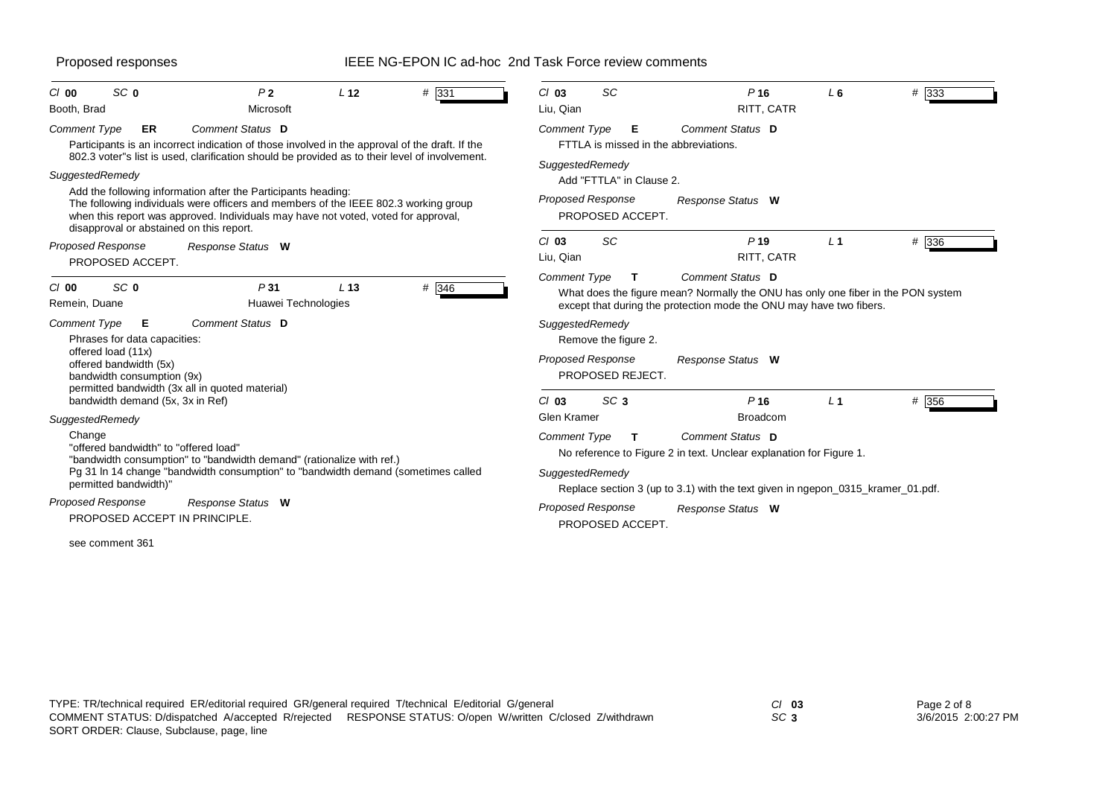| SC <sub>0</sub><br>L <sub>12</sub><br>$#$ 331<br>P <sub>2</sub><br>$Cl$ 00<br>Booth, Brad<br>Microsoft                                                                                                                                                                                 | <b>SC</b><br>$Cl$ 03<br>P <sub>16</sub><br>L6<br># 333<br>Liu, Qian<br>RITT, CATR                                                                                                                |
|----------------------------------------------------------------------------------------------------------------------------------------------------------------------------------------------------------------------------------------------------------------------------------------|--------------------------------------------------------------------------------------------------------------------------------------------------------------------------------------------------|
| Comment Status D<br>Comment Type<br>ER<br>Participants is an incorrect indication of those involved in the approval of the draft. If the<br>802.3 voter"s list is used, clarification should be provided as to their level of involvement.                                             | Comment Status D<br><b>Comment Type</b><br>E<br>FTTLA is missed in the abbreviations.<br>SuggestedRemedy                                                                                         |
| SuggestedRemedy                                                                                                                                                                                                                                                                        | Add "FTTLA" in Clause 2.                                                                                                                                                                         |
| Add the following information after the Participants heading:<br>The following individuals were officers and members of the IEEE 802.3 working group<br>when this report was approved. Individuals may have not voted, voted for approval,<br>disapproval or abstained on this report. | <b>Proposed Response</b><br>Response Status W<br>PROPOSED ACCEPT.                                                                                                                                |
| Proposed Response<br>Response Status W<br>PROPOSED ACCEPT.                                                                                                                                                                                                                             | <b>SC</b><br>$P$ 19<br># 336<br>$Cl$ 03<br>L <sub>1</sub><br>Liu, Qian<br>RITT, CATR                                                                                                             |
| # 346<br>SC <sub>0</sub><br>P31<br>L <sub>13</sub><br>$Cl$ 00<br>Remein, Duane<br>Huawei Technologies                                                                                                                                                                                  | Comment Status D<br>Comment Type<br>т<br>What does the figure mean? Normally the ONU has only one fiber in the PON system<br>except that during the protection mode the ONU may have two fibers. |
| Comment Status D<br><b>Comment Type</b><br>Е<br>Phrases for data capacities:                                                                                                                                                                                                           | SuggestedRemedy<br>Remove the figure 2.                                                                                                                                                          |
| offered load (11x)<br>offered bandwidth (5x)<br>bandwidth consumption (9x)<br>permitted bandwidth (3x all in quoted material)                                                                                                                                                          | <b>Proposed Response</b><br>Response Status W<br>PROPOSED REJECT.                                                                                                                                |
| bandwidth demand (5x, 3x in Ref)                                                                                                                                                                                                                                                       | SC <sub>3</sub><br># 356<br>P <sub>16</sub><br>$Cl$ 03<br>L <sub>1</sub>                                                                                                                         |
| SuggestedRemedy                                                                                                                                                                                                                                                                        | Glen Kramer<br><b>Broadcom</b>                                                                                                                                                                   |
| Change<br>"offered bandwidth" to "offered load"<br>"bandwidth consumption" to "bandwidth demand" (rationalize with ref.)                                                                                                                                                               | Comment Status D<br><b>Comment Type</b><br>т<br>No reference to Figure 2 in text. Unclear explanation for Figure 1.                                                                              |
| Pg 31 In 14 change "bandwidth consumption" to "bandwidth demand (sometimes called<br>permitted bandwidth)"                                                                                                                                                                             | SuggestedRemedy<br>Replace section 3 (up to 3.1) with the text given in ngepon_0315_kramer_01.pdf.                                                                                               |
| Proposed Response<br>Response Status W<br>PROPOSED ACCEPT IN PRINCIPLE.                                                                                                                                                                                                                | <b>Proposed Response</b><br>Response Status W<br>PROPOSED ACCEPT.                                                                                                                                |
| see comment 361                                                                                                                                                                                                                                                                        |                                                                                                                                                                                                  |

*SC* **3**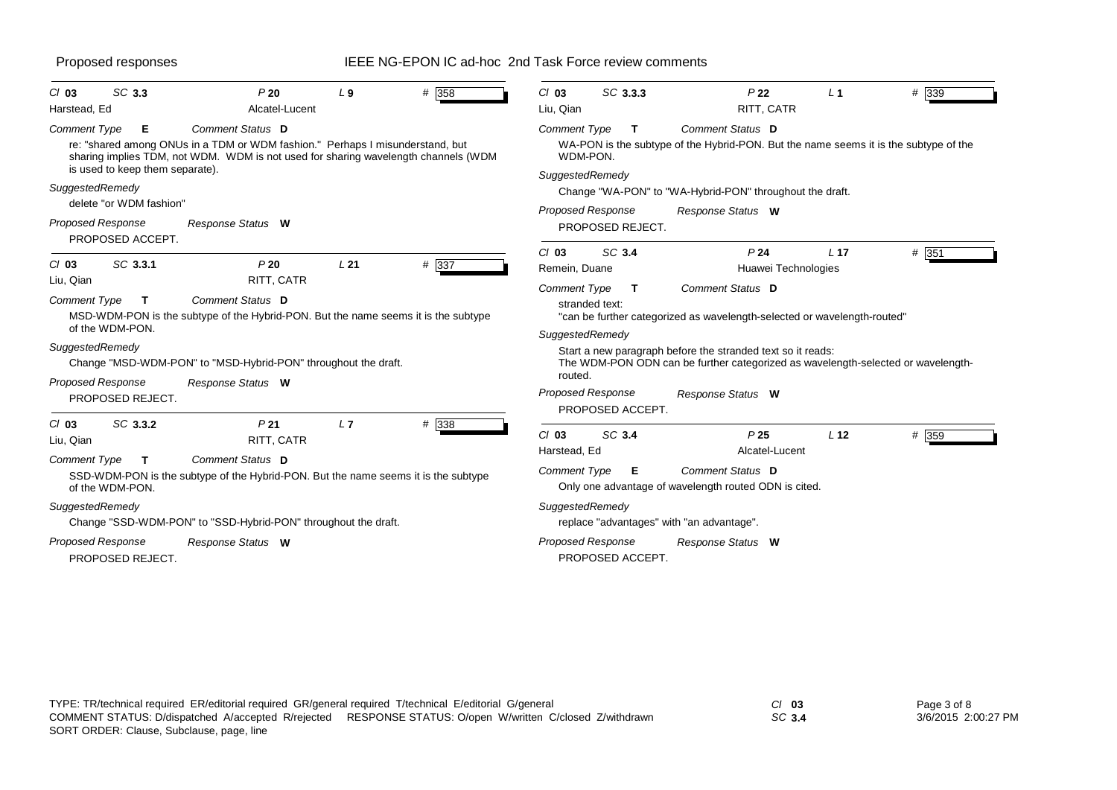| SC 3.3<br>$Cl$ 03<br>Harstead, Ed                                               | P20<br>Alcatel-Lucent                                                                                                                                                                   | L <sub>9</sub>  | # 358 | $Cl$ 03<br>Liu, Qian                                                | SC 3.3.3         | P <sub>22</sub><br>RITT, CATR                                                                                                                                                                                                                   | L <sub>1</sub>  | # 339 |
|---------------------------------------------------------------------------------|-----------------------------------------------------------------------------------------------------------------------------------------------------------------------------------------|-----------------|-------|---------------------------------------------------------------------|------------------|-------------------------------------------------------------------------------------------------------------------------------------------------------------------------------------------------------------------------------------------------|-----------------|-------|
| Е<br><b>Comment Type</b><br>is used to keep them separate).                     | Comment Status D<br>re: "shared among ONUs in a TDM or WDM fashion." Perhaps I misunderstand, but<br>sharing implies TDM, not WDM. WDM is not used for sharing wavelength channels (WDM |                 |       | <b>Comment Type</b><br>WDM-PON.<br>SuggestedRemedy                  | Т                | Comment Status D<br>WA-PON is the subtype of the Hybrid-PON. But the name seems it is the subtype of the                                                                                                                                        |                 |       |
| SuggestedRemedy                                                                 |                                                                                                                                                                                         |                 |       |                                                                     |                  | Change "WA-PON" to "WA-Hybrid-PON" throughout the draft.                                                                                                                                                                                        |                 |       |
| delete "or WDM fashion"<br><b>Proposed Response</b><br>PROPOSED ACCEPT.         | Response Status W                                                                                                                                                                       |                 |       | <b>Proposed Response</b>                                            | PROPOSED REJECT. | Response Status W                                                                                                                                                                                                                               |                 |       |
| SC 3.3.1<br>$Cl$ 03                                                             | P20                                                                                                                                                                                     | L <sub>21</sub> | # 337 | $Cl$ 03<br>Remein, Duane                                            | SC 3.4           | P <sub>24</sub><br>Huawei Technologies                                                                                                                                                                                                          | L <sub>17</sub> | # 351 |
| Liu, Qian<br>Comment Type<br>$\mathbf{T}$<br>of the WDM-PON.<br>SuggestedRemedy | RITT, CATR<br>Comment Status D<br>MSD-WDM-PON is the subtype of the Hybrid-PON. But the name seems it is the subtype<br>Change "MSD-WDM-PON" to "MSD-Hybrid-PON" throughout the draft.  |                 |       | <b>Comment Type</b><br>stranded text:<br>SuggestedRemedy<br>routed. | T                | Comment Status D<br>"can be further categorized as wavelength-selected or wavelength-routed"<br>Start a new paragraph before the stranded text so it reads:<br>The WDM-PON ODN can be further categorized as wavelength-selected or wavelength- |                 |       |
| <b>Proposed Response</b><br>PROPOSED REJECT.                                    | Response Status W                                                                                                                                                                       |                 |       | <b>Proposed Response</b>                                            | PROPOSED ACCEPT. | Response Status W                                                                                                                                                                                                                               |                 |       |
| SC 3.3.2<br>$Cl$ 03<br>Liu, Qian                                                | P <sub>21</sub><br>RITT, CATR                                                                                                                                                           | L7              | # 338 | $Cl$ 03<br>Harstead, Ed                                             | SC 3.4           | P <sub>25</sub><br>Alcatel-Lucent                                                                                                                                                                                                               | L <sub>12</sub> | # 359 |
| Comment Type<br>$\mathbf{T}$<br>of the WDM-PON.                                 | Comment Status D<br>SSD-WDM-PON is the subtype of the Hybrid-PON. But the name seems it is the subtype                                                                                  |                 |       | <b>Comment Type</b>                                                 | Е                | Comment Status D<br>Only one advantage of wavelength routed ODN is cited.                                                                                                                                                                       |                 |       |
| SuggestedRemedy                                                                 | Change "SSD-WDM-PON" to "SSD-Hybrid-PON" throughout the draft.                                                                                                                          |                 |       | SuggestedRemedy                                                     |                  | replace "advantages" with "an advantage".                                                                                                                                                                                                       |                 |       |
| <b>Proposed Response</b><br>PROPOSED REJECT.                                    | Response Status W                                                                                                                                                                       |                 |       | <b>Proposed Response</b>                                            | PROPOSED ACCEPT. | Response Status W                                                                                                                                                                                                                               |                 |       |

*SC* **3.4**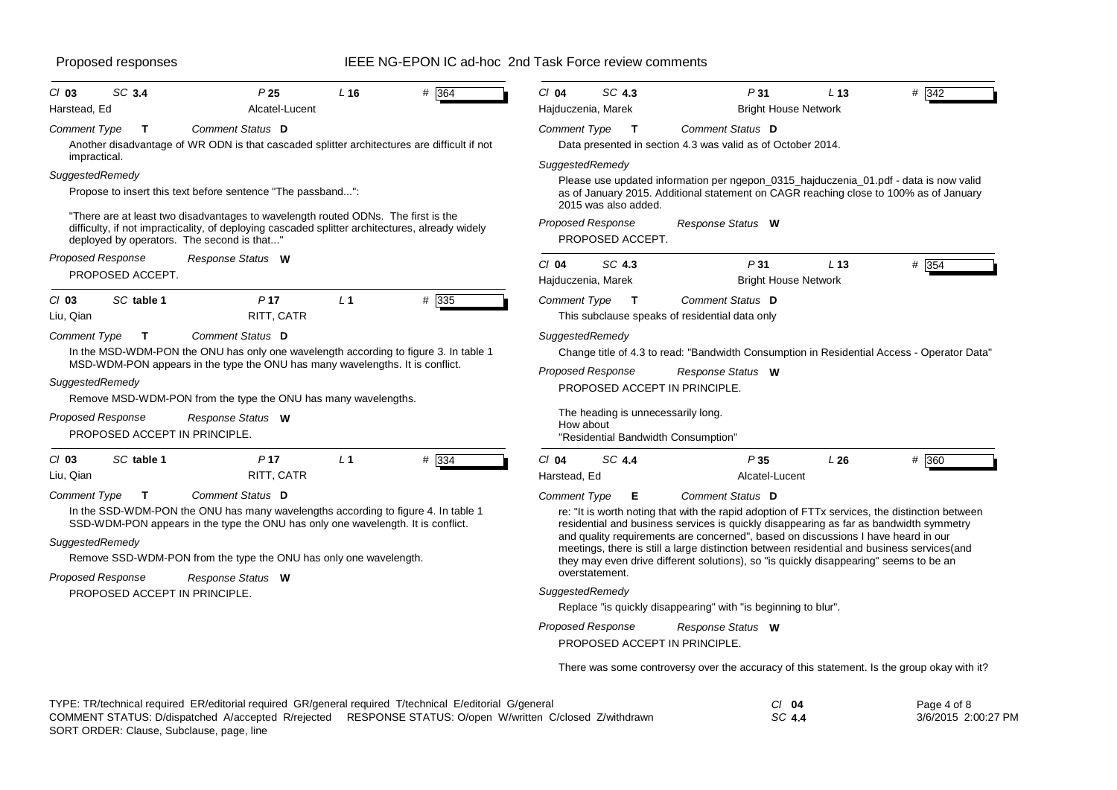| $Cl$ 03                                                            | SC 3.4                                        | P <sub>25</sub>                                                                                                                                                                                                                                                                                   | L16            | # 364 | $Cl$ 04                                | SC 4.3                                                         | P31                                                                                                                                                                                                                                                                                                                                                                                                                                                                                                                                                                                                               | L <sub>13</sub> | # 342 |
|--------------------------------------------------------------------|-----------------------------------------------|---------------------------------------------------------------------------------------------------------------------------------------------------------------------------------------------------------------------------------------------------------------------------------------------------|----------------|-------|----------------------------------------|----------------------------------------------------------------|-------------------------------------------------------------------------------------------------------------------------------------------------------------------------------------------------------------------------------------------------------------------------------------------------------------------------------------------------------------------------------------------------------------------------------------------------------------------------------------------------------------------------------------------------------------------------------------------------------------------|-----------------|-------|
| Harstead, Ed                                                       |                                               | Alcatel-Lucent                                                                                                                                                                                                                                                                                    |                |       | Hajduczenia, Marek                     |                                                                | <b>Bright House Network</b>                                                                                                                                                                                                                                                                                                                                                                                                                                                                                                                                                                                       |                 |       |
| <b>Comment Type</b><br>impractical.                                | Т                                             | Comment Status D<br>Another disadvantage of WR ODN is that cascaded splitter architectures are difficult if not                                                                                                                                                                                   |                |       | <b>Comment Type</b>                    | $\mathbf{T}$                                                   | Comment Status D<br>Data presented in section 4.3 was valid as of October 2014.                                                                                                                                                                                                                                                                                                                                                                                                                                                                                                                                   |                 |       |
| SuggestedRemedy                                                    |                                               | Propose to insert this text before sentence "The passband":<br>"There are at least two disadvantages to wavelength routed ODNs. The first is the<br>difficulty, if not impracticality, of deploying cascaded splitter architectures, already widely<br>deployed by operators. The second is that" |                |       | SuggestedRemedy                        | 2015 was also added.<br>Proposed Response<br>PROPOSED ACCEPT.  | Please use updated information per ngepon_0315_hajduczenia_01.pdf - data is now valid<br>as of January 2015. Additional statement on CAGR reaching close to 100% as of January<br>Response Status W                                                                                                                                                                                                                                                                                                                                                                                                               |                 |       |
| <b>Proposed Response</b>                                           | PROPOSED ACCEPT.                              | Response Status W                                                                                                                                                                                                                                                                                 |                |       | $Cl$ 04<br>Hajduczenia, Marek          | SC 4.3                                                         | P31<br><b>Bright House Network</b>                                                                                                                                                                                                                                                                                                                                                                                                                                                                                                                                                                                | L <sub>13</sub> | # 354 |
| $Cl$ 03<br>Liu, Qian                                               | SC table 1                                    | P <sub>17</sub><br>RITT, CATR                                                                                                                                                                                                                                                                     | L <sub>1</sub> | # 335 | Comment Type                           | $\mathbf{T}$                                                   | Comment Status D<br>This subclause speaks of residential data only                                                                                                                                                                                                                                                                                                                                                                                                                                                                                                                                                |                 |       |
| <b>Comment Type</b><br>SuggestedRemedy<br><b>Proposed Response</b> | $\mathbf{T}$<br>PROPOSED ACCEPT IN PRINCIPLE. | Comment Status D<br>In the MSD-WDM-PON the ONU has only one wavelength according to figure 3. In table 1<br>MSD-WDM-PON appears in the type the ONU has many wavelengths. It is conflict.<br>Remove MSD-WDM-PON from the type the ONU has many wavelengths.<br>Response Status W                  |                |       | SuggestedRemedy<br>How about           | <b>Proposed Response</b><br>The heading is unnecessarily long. | Change title of 4.3 to read: "Bandwidth Consumption in Residential Access - Operator Data"<br>Response Status W<br>PROPOSED ACCEPT IN PRINCIPLE.<br>"Residential Bandwidth Consumption"                                                                                                                                                                                                                                                                                                                                                                                                                           |                 |       |
| $Cl$ 03<br>Liu, Qian                                               | SC table 1                                    | P <sub>17</sub><br>RITT, CATR                                                                                                                                                                                                                                                                     | L <sub>1</sub> | # 334 | $Cl$ 04<br>Harstead, Ed                | SC 4.4                                                         | P35<br>Alcatel-Lucent                                                                                                                                                                                                                                                                                                                                                                                                                                                                                                                                                                                             | L26             | # 360 |
| <b>Comment Type</b><br>SuggestedRemedy<br><b>Proposed Response</b> | T<br>PROPOSED ACCEPT IN PRINCIPLE.            | Comment Status D<br>In the SSD-WDM-PON the ONU has many wavelengths according to figure 4. In table 1<br>SSD-WDM-PON appears in the type the ONU has only one wavelength. It is conflict.<br>Remove SSD-WDM-PON from the type the ONU has only one wavelength.<br>Response Status W               |                |       | <b>Comment Type</b><br>SuggestedRemedy | Е<br>overstatement.<br><b>Proposed Response</b>                | Comment Status D<br>re: "It is worth noting that with the rapid adoption of FTTx services, the distinction between<br>residential and business services is quickly disappearing as far as bandwidth symmetry<br>and quality requirements are concerned", based on discussions I have heard in our<br>meetings, there is still a large distinction between residential and business services (and<br>they may even drive different solutions), so "is quickly disappearing" seems to be an<br>Replace "is quickly disappearing" with "is beginning to blur".<br>Response Status W<br>PROPOSED ACCEPT IN PRINCIPLE. |                 |       |

There was some controversy over the accuracy of this statement. Is the group okay with it?

| TYPE: TR/technical required ER/editorial required GR/general required T/technical E/editorial G/general |                                                                                                           | CI 04  | Page 4 of 8         |
|---------------------------------------------------------------------------------------------------------|-----------------------------------------------------------------------------------------------------------|--------|---------------------|
|                                                                                                         | COMMENT STATUS: D/dispatched A/accepted R/rejected RESPONSE STATUS: O/open W/written C/closed Z/withdrawn | SC 4.4 | 3/6/2015 2:00:27 PM |
| $\mathbf{a} \mathbf{a} \mathbf{b} = \mathbf{a} \mathbf{b} \mathbf{b} = \mathbf{a} \mathbf{b}$           |                                                                                                           |        |                     |

SORT ORDER: Clause, Subclause, page, line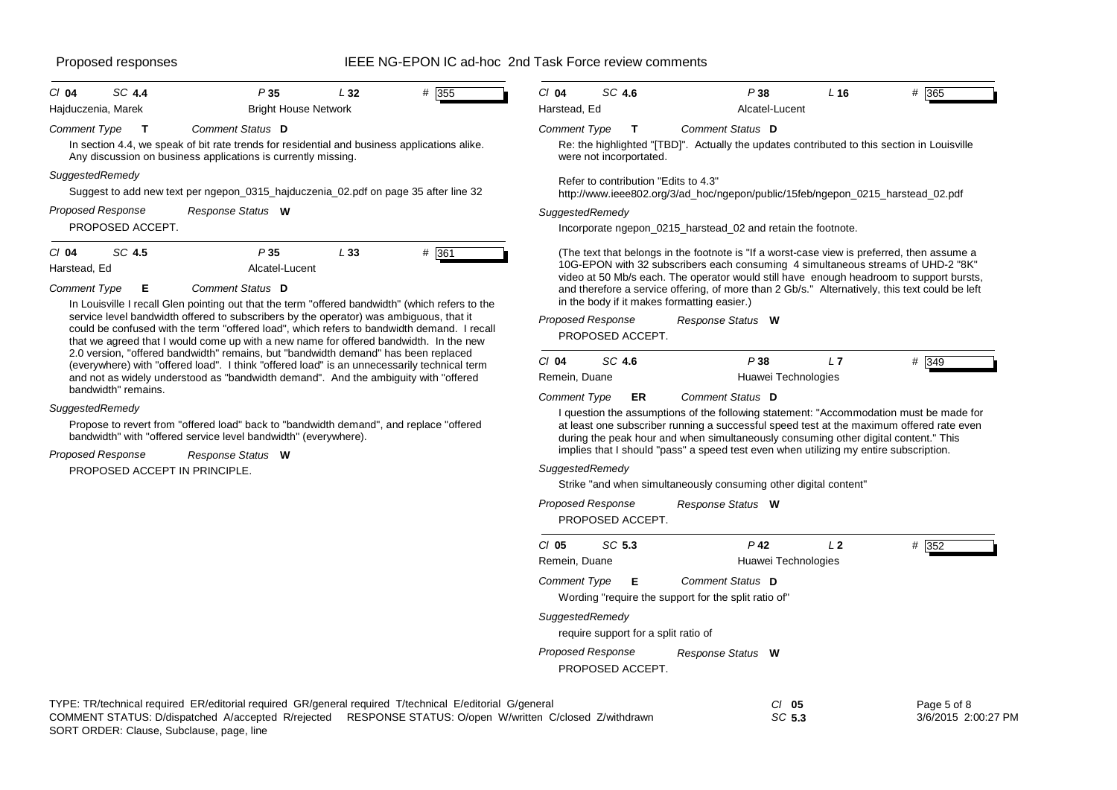| $Cl$ 04                                        | SC 4.4                                       | P35                                                                                                                                                                                                                                                                                                                                                                              | L32 | # 355   | $Cl$ 04             | SC 4.6                                       | P38                                                                                                                                                                                                                                                                                                                                                                          | L16 | # 365   |
|------------------------------------------------|----------------------------------------------|----------------------------------------------------------------------------------------------------------------------------------------------------------------------------------------------------------------------------------------------------------------------------------------------------------------------------------------------------------------------------------|-----|---------|---------------------|----------------------------------------------|------------------------------------------------------------------------------------------------------------------------------------------------------------------------------------------------------------------------------------------------------------------------------------------------------------------------------------------------------------------------------|-----|---------|
|                                                | Hajduczenia, Marek                           | <b>Bright House Network</b>                                                                                                                                                                                                                                                                                                                                                      |     |         | Harstead, Ed        |                                              | Alcatel-Lucent                                                                                                                                                                                                                                                                                                                                                               |     |         |
| <b>Comment Type</b>                            |                                              | Comment Status D<br>In section 4.4, we speak of bit rate trends for residential and business applications alike.<br>Any discussion on business applications is currently missing.                                                                                                                                                                                                |     |         | <b>Comment Type</b> | were not incorportated.                      | Comment Status D<br>Re: the highlighted "[TBD]". Actually the updates contributed to this section in Louisville                                                                                                                                                                                                                                                              |     |         |
|                                                | SuggestedRemedy                              | Suggest to add new text per ngepon_0315_hajduczenia_02.pdf on page 35 after line 32                                                                                                                                                                                                                                                                                              |     |         |                     | Refer to contribution "Edits to 4.3"         | http://www.ieee802.org/3/ad_hoc/ngepon/public/15feb/ngepon_0215_harstead_02.pdf                                                                                                                                                                                                                                                                                              |     |         |
|                                                | <b>Proposed Response</b><br>PROPOSED ACCEPT. | Response Status W                                                                                                                                                                                                                                                                                                                                                                |     |         |                     | SuggestedRemedy                              | Incorporate ngepon_0215_harstead_02 and retain the footnote.                                                                                                                                                                                                                                                                                                                 |     |         |
| $Cl$ 04<br>Harstead, Ed<br><b>Comment Type</b> | SC 4.5<br>E                                  | P35<br>Alcatel-Lucent<br>Comment Status D                                                                                                                                                                                                                                                                                                                                        | L33 | $#$ 361 |                     |                                              | (The text that belongs in the footnote is "If a worst-case view is preferred, then assume a<br>10G-EPON with 32 subscribers each consuming 4 simultaneous streams of UHD-2 "8K"<br>video at 50 Mb/s each. The operator would still have enough headroom to support bursts,<br>and therefore a service offering, of more than 2 Gb/s." Alternatively, this text could be left |     |         |
|                                                |                                              | In Louisville I recall Glen pointing out that the term "offered bandwidth" (which refers to the<br>service level bandwidth offered to subscribers by the operator) was ambiguous, that it<br>could be confused with the term "offered load", which refers to bandwidth demand. I recall<br>that we agreed that I would come up with a new name for offered bandwidth. In the new |     |         |                     | <b>Proposed Response</b><br>PROPOSED ACCEPT. | in the body if it makes formatting easier.)<br>Response Status W                                                                                                                                                                                                                                                                                                             |     |         |
|                                                |                                              | 2.0 version, "offered bandwidth" remains, but "bandwidth demand" has been replaced<br>(everywhere) with "offered load". I think "offered load" is an unnecessarily technical term                                                                                                                                                                                                |     |         | $Cl$ 04             | SC 4.6                                       | P38                                                                                                                                                                                                                                                                                                                                                                          | L7  | $#$ 349 |

| bandwidth" remains. |  |
|---------------------|--|
| SuggestedRemedy     |  |

Propose to revert from "offered load" back to "bandwidth demand", and replace "offered bandwidth" with "offered service level bandwidth" (everywhere).

and not as widely understood as "bandwidth demand". And the ambiguity with "offered

*Response Status* **W** *Proposed Response*

PROPOSED ACCEPT IN PRINCIPLE.

## *SuggestedRemedy*

*Comment Type* **ER**

Strike "and when simultaneously consuming other digital content"

Remein, Duane **Huawei Technologies** 

*Comment Status* **D**

|                     | <b>Proposed Response</b><br>PROPOSED ACCEPT. | Response Status W                                                        |    |          |
|---------------------|----------------------------------------------|--------------------------------------------------------------------------|----|----------|
| C/05                | SC 5.3                                       | P <sub>42</sub>                                                          | 12 | #<br>352 |
| Remein, Duane       |                                              | Huawei Technologies                                                      |    |          |
| <b>Comment Type</b> | E                                            | Comment Status D<br>Wording "require the support for the split ratio of" |    |          |
| SuggestedRemedy     | require support for a split ratio of         |                                                                          |    |          |
|                     | <b>Proposed Response</b><br>PROPOSED ACCEPT. | Response Status W                                                        |    |          |

I question the assumptions of the following statement: "Accommodation must be made for at least one subscriber running a successful speed test at the maximum offered rate even during the peak hour and when simultaneously consuming other digital content." This implies that I should "pass" a speed test even when utilizing my entire subscription.

| TYPE: TR/technical required ER/editorial required GR/general required T/technical E/editorial G/general |                                                                                                           | CI 05  | Page 5 of 8         |
|---------------------------------------------------------------------------------------------------------|-----------------------------------------------------------------------------------------------------------|--------|---------------------|
|                                                                                                         | COMMENT STATUS: D/dispatched A/accepted R/rejected RESPONSE STATUS: O/open W/written C/closed Z/withdrawn | SC 5.3 | 3/6/2015 2:00:27 PM |
| $\mathbf{a} \mathbf{a} \mathbf{b} = \mathbf{a} \mathbf{b} \mathbf{b} = \mathbf{a} \mathbf{b}$           |                                                                                                           |        |                     |

SORT ORDER: Clause, Subclause, page, line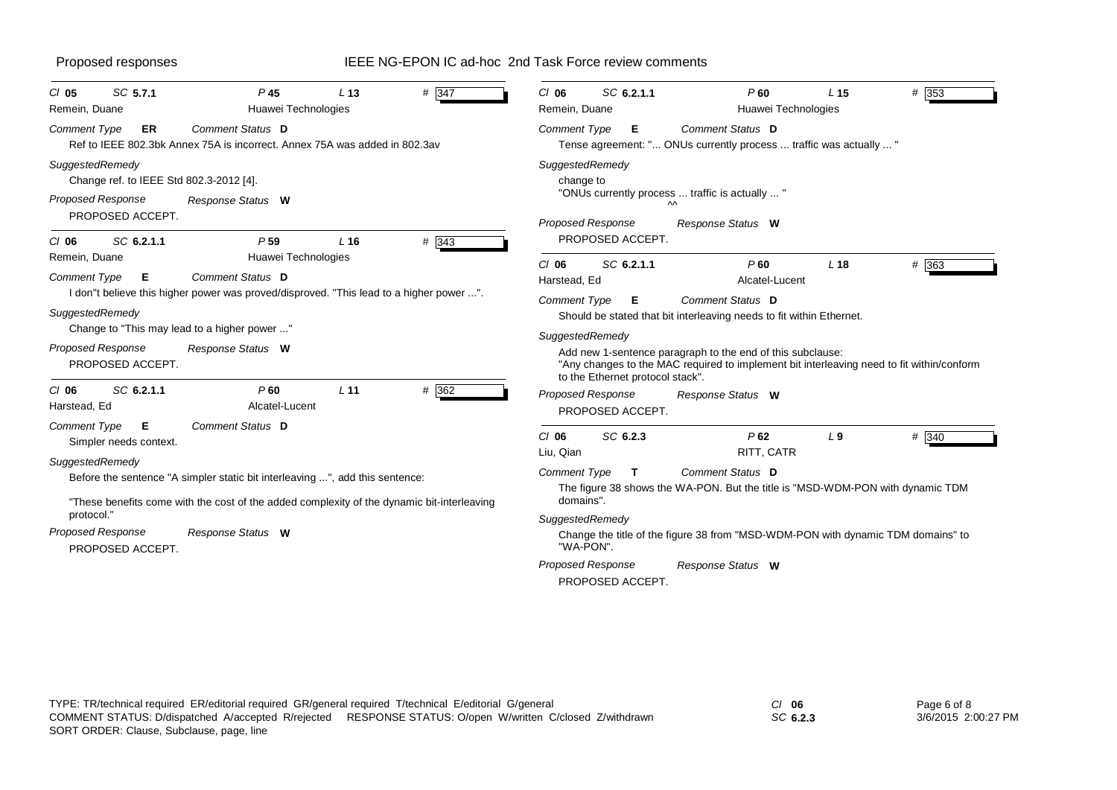| SC 5.7.1<br>$CI$ 05<br>Remein, Duane                                                                                                                           | P <sub>45</sub><br>Huawei Technologies                                                                                                                                                                                               | L <sub>13</sub>                    | # 347          | $CI$ 06<br>Remein, Duane                                                                           | SC 6.2.1.1                                                              | P60<br>Huawei Technologies                                                                                                                                                                                                                                                          | L <sub>15</sub> | $#$ 353 |
|----------------------------------------------------------------------------------------------------------------------------------------------------------------|--------------------------------------------------------------------------------------------------------------------------------------------------------------------------------------------------------------------------------------|------------------------------------|----------------|----------------------------------------------------------------------------------------------------|-------------------------------------------------------------------------|-------------------------------------------------------------------------------------------------------------------------------------------------------------------------------------------------------------------------------------------------------------------------------------|-----------------|---------|
| <b>Comment Type</b><br>ER                                                                                                                                      | Comment Status D<br>Ref to IEEE 802.3bk Annex 75A is incorrect. Annex 75A was added in 802.3av                                                                                                                                       |                                    |                | Comment Type                                                                                       | Е                                                                       | Comment Status D<br>Tense agreement: " ONUs currently process  traffic was actually  "                                                                                                                                                                                              |                 |         |
| SuggestedRemedy<br>Change ref. to IEEE Std 802.3-2012 [4].<br><b>Proposed Response</b><br>PROPOSED ACCEPT.                                                     | Response Status W                                                                                                                                                                                                                    |                                    |                | SuggestedRemedy<br>change to<br>Proposed Response                                                  |                                                                         | "ONUs currently process  traffic is actually  "<br>ᄊ<br>Response Status W                                                                                                                                                                                                           |                 |         |
| SC 6.2.1.1<br>$Cl$ 06<br>Remein, Duane<br><b>Comment Type</b><br>E<br>SuggestedRemedy<br><b>Proposed Response</b><br>PROPOSED ACCEPT.<br>SC 6.2.1.1<br>$CI$ 06 | P <sub>59</sub><br>Huawei Technologies<br>Comment Status D<br>I don"t believe this higher power was proved/disproved. "This lead to a higher power ".<br>Change to "This may lead to a higher power "<br>Response Status W<br>$P$ 60 | L <sub>16</sub><br>L <sub>11</sub> | # 343<br># 362 | $CI$ 06<br>Harstead, Ed<br>Comment Type<br>SuggestedRemedy                                         | PROPOSED ACCEPT.<br>SC 6.2.1.1<br>Е<br>to the Ethernet protocol stack". | P60<br>Alcatel-Lucent<br><b>Comment Status D</b><br>Should be stated that bit interleaving needs to fit within Ethernet.<br>Add new 1-sentence paragraph to the end of this subclause:<br>"Any changes to the MAC required to implement bit interleaving need to fit within/conform | L18             | # 363   |
| Harstead, Ed<br>Comment Type<br>E<br>Simpler needs context.                                                                                                    | Alcatel-Lucent<br>Comment Status D                                                                                                                                                                                                   |                                    |                | <b>Proposed Response</b><br>$CI$ 06                                                                | PROPOSED ACCEPT.<br>SC 6.2.3                                            | Response Status W<br>P62                                                                                                                                                                                                                                                            | L <sub>9</sub>  | # 340   |
| SuggestedRemedy<br>protocol."<br>Proposed Response<br>PROPOSED ACCEPT.                                                                                         | Before the sentence "A simpler static bit interleaving ", add this sentence:<br>"These benefits come with the cost of the added complexity of the dynamic bit-interleaving<br>Response Status W                                      |                                    |                | Liu, Qian<br><b>Comment Type</b><br>domains".<br>SuggestedRemedy<br>"WA-PON".<br>Proposed Response | Т<br>PROPOSED ACCEPT.                                                   | RITT, CATR<br>Comment Status D<br>The figure 38 shows the WA-PON. But the title is "MSD-WDM-PON with dynamic TDM<br>Change the title of the figure 38 from "MSD-WDM-PON with dynamic TDM domains" to<br>Response Status W                                                           |                 |         |

*SC* **6.2.3**

Page 6 of 8 3/6/2015 2:00:27 PM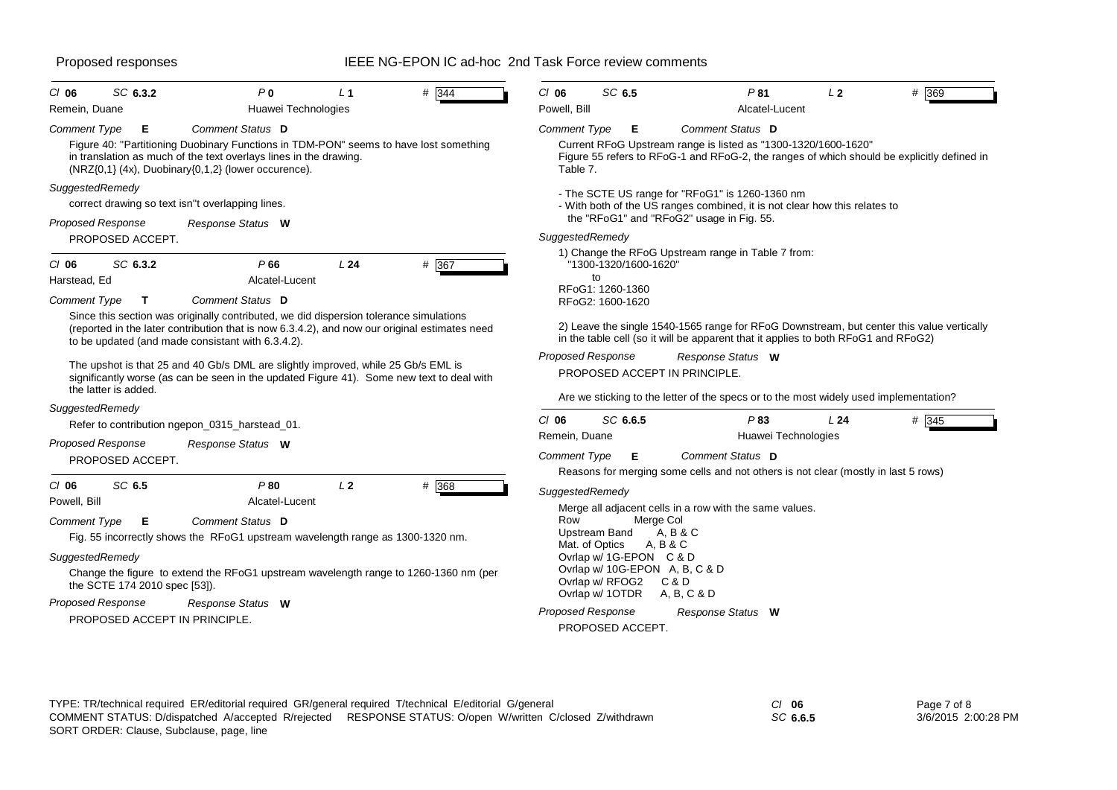| CI 06<br>Remein, Duane                                                                        | SC 6.3.2                                     | P <sub>0</sub><br>Huawei Technologies                                                                                                                                                                                                                                     | L <sub>1</sub> | # 344 | $CI$ 06<br>Powell, Bill                            | SC 6.5                                                                                                               | P81<br>Alcatel-Lucent                                                                                                                                                                                                               | L <sub>2</sub> | # 369 |
|-----------------------------------------------------------------------------------------------|----------------------------------------------|---------------------------------------------------------------------------------------------------------------------------------------------------------------------------------------------------------------------------------------------------------------------------|----------------|-------|----------------------------------------------------|----------------------------------------------------------------------------------------------------------------------|-------------------------------------------------------------------------------------------------------------------------------------------------------------------------------------------------------------------------------------|----------------|-------|
| <b>Comment Type</b><br>SuggestedRemedy                                                        | Е                                            | Comment Status D<br>Figure 40: "Partitioning Duobinary Functions in TDM-PON" seems to have lost something<br>in translation as much of the text overlays lines in the drawing.<br>(NRZ{0,1} (4x), Duobinary{0,1,2} (lower occurence).                                     |                |       | <b>Comment Type</b><br>Table 7.                    | Е                                                                                                                    | Comment Status D<br>Current RFoG Upstream range is listed as "1300-1320/1600-1620"<br>Figure 55 refers to RFoG-1 and RFoG-2, the ranges of which should be explicitly defined in<br>- The SCTE US range for "RFoG1" is 1260-1360 nm |                |       |
| <b>Proposed Response</b>                                                                      | PROPOSED ACCEPT.                             | correct drawing so text isn"t overlapping lines.<br>Response Status W                                                                                                                                                                                                     |                |       | SuggestedRemedy                                    |                                                                                                                      | - With both of the US ranges combined, it is not clear how this relates to<br>the "RFoG1" and "RFoG2" usage in Fig. 55.                                                                                                             |                |       |
| $CI$ 06<br>Harstead, Ed<br>Comment Type                                                       | SC 6.3.2<br>$\mathbf{T}$                     | P66<br>Alcatel-Lucent<br>Comment Status D<br>Since this section was originally contributed, we did dispersion tolerance simulations<br>(reported in the later contribution that is now 6.3.4.2), and now our original estimates need                                      | L24            | # 367 |                                                    | "1300-1320/1600-1620"<br>to<br>RFoG1: 1260-1360<br>RFoG2: 1600-1620                                                  | 1) Change the RFoG Upstream range in Table 7 from:<br>2) Leave the single 1540-1565 range for RFoG Downstream, but center this value vertically                                                                                     |                |       |
| the latter is added.                                                                          |                                              | to be updated (and made consistant with 6.3.4.2).<br>The upshot is that 25 and 40 Gb/s DML are slightly improved, while 25 Gb/s EML is<br>significantly worse (as can be seen in the updated Figure 41). Some new text to deal with                                       |                |       | <b>Proposed Response</b>                           |                                                                                                                      | in the table cell (so it will be apparent that it applies to both RFoG1 and RFoG2)<br>Response Status W<br>PROPOSED ACCEPT IN PRINCIPLE.<br>Are we sticking to the letter of the specs or to the most widely used implementation?   |                |       |
| SuggestedRemedy<br><b>Proposed Response</b>                                                   | PROPOSED ACCEPT.                             | Refer to contribution ngepon_0315_harstead_01.<br>Response Status W                                                                                                                                                                                                       |                |       | $CI$ 06<br>Remein, Duane<br><b>Comment Type</b>    | SC 6.6.5<br>Е                                                                                                        | P83<br>Huawei Technologies<br>Comment Status D<br>Reasons for merging some cells and not others is not clear (mostly in last 5 rows)                                                                                                | L24            | # 345 |
| $CI$ 06<br>Powell, Bill<br><b>Comment Type</b><br>SuggestedRemedy<br><b>Proposed Response</b> | SC 6.5<br>Е<br>the SCTE 174 2010 spec [53]). | P80<br>Alcatel-Lucent<br>Comment Status D<br>Fig. 55 incorrectly shows the RFoG1 upstream wavelength range as 1300-1320 nm.<br>Change the figure to extend the RFoG1 upstream wavelength range to 1260-1360 nm (per<br>Response Status W<br>PROPOSED ACCEPT IN PRINCIPLE. | L <sub>2</sub> | # 368 | SuggestedRemedy<br>Row<br><b>Proposed Response</b> | Upstream Band<br>Mat. of Optics<br>Ovrlap w/ 1G-EPON C & D<br>Ovrlap w/ RFOG2<br>Ovrlap w/ 1OTDR<br>PROPOSED ACCEPT. | Merge all adjacent cells in a row with the same values.<br>Merge Col<br>A. B & C<br>A, B & C<br>Ovrlap w/ 10G-EPON A, B, C & D<br>C & D<br>A, B, C & D<br>Response Status W                                                         |                |       |

| TYPE: TR/technical required ER/editorial required GR/general required T/technical E/editorial G/general |                                                                                                           | $Cl$ 06 |
|---------------------------------------------------------------------------------------------------------|-----------------------------------------------------------------------------------------------------------|---------|
|                                                                                                         | COMMENT STATUS: D/dispatched A/accepted R/reiected RESPONSE STATUS: O/open W/written C/closed Z/withdrawn | SC 6.   |
| SORT ORDER: Clause, Subclause, page, line                                                               |                                                                                                           |         |

Page 7 of 8 3/6/2015 2:00:28 PM

*SC* **6.6.5**